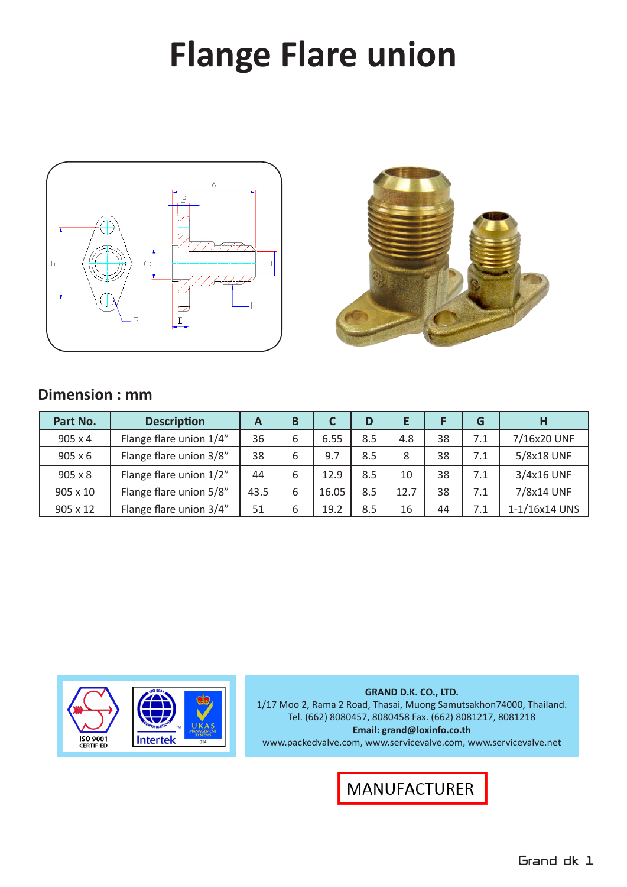# **Flange Flare union**





#### **Dimension : mm**

| Part No.       | <b>Description</b>      | A    | B |       | D   |      |    | G   | Н             |
|----------------|-------------------------|------|---|-------|-----|------|----|-----|---------------|
| 905 x 4        | Flange flare union 1/4" | 36   | 6 | 6.55  | 8.5 | 4.8  | 38 | 7.1 | 7/16x20 UNF   |
| $905 \times 6$ | Flange flare union 3/8" | 38   | 6 | 9.7   | 8.5 | 8    | 38 | 7.1 | 5/8x18 UNF    |
| $905 \times 8$ | Flange flare union 1/2" | 44   | 6 | 12.9  | 8.5 | 10   | 38 | 7.1 | 3/4x16 UNF    |
| 905 x 10       | Flange flare union 5/8" | 43.5 | 6 | 16.05 | 8.5 | 12.7 | 38 | 7.1 | 7/8x14 UNF    |
| 905 x 12       | Flange flare union 3/4" | 51   | 6 | 19.2  | 8.5 | 16   | 44 | 7.1 | 1-1/16x14 UNS |



**GRAND D.K. CO., LTD.** 1/17 Moo 2, Rama 2 Road, Thasai, Muong Samutsakhon74000, Thailand. Tel. (662) 8080457, 8080458 Fax. (662) 8081217, 8081218 **Email: grand@loxinfo.co.th** www.packedvalve.com, www.servicevalve.com, www.servicevalve.net

**MANUFACTURER**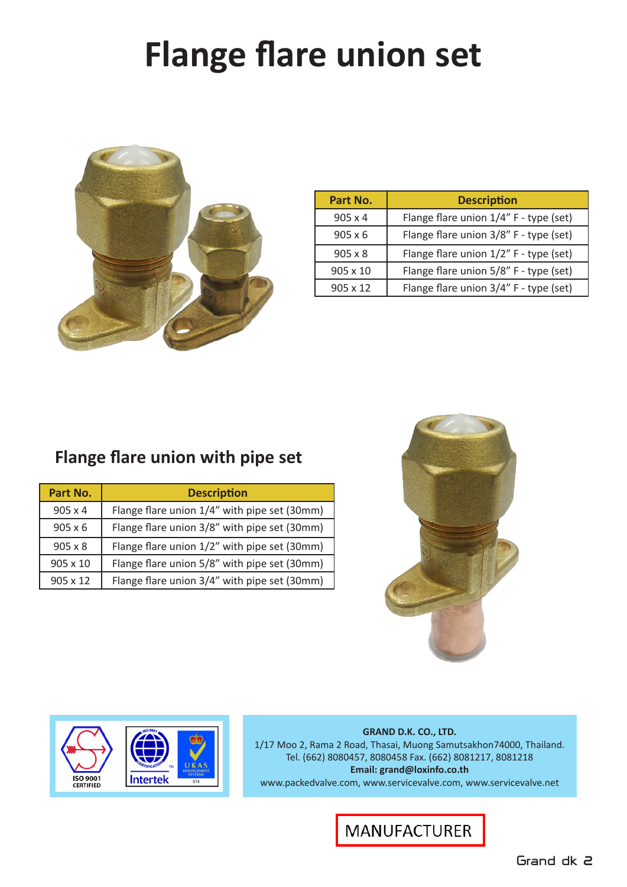# **Flange flare union set**



| Part No.        | <b>Description</b>                     |
|-----------------|----------------------------------------|
| $905 \times 4$  | Flange flare union 1/4" F - type (set) |
| $905 \times 6$  | Flange flare union 3/8" F - type (set) |
| $905 \times 8$  | Flange flare union 1/2" F - type (set) |
| 905 x 10        | Flange flare union 5/8" F - type (set) |
| $905 \times 12$ | Flange flare union 3/4" F - type (set) |

### **Flange flare union with pipe set**

| Part No.       | <b>Description</b>                           |
|----------------|----------------------------------------------|
| $905 \times 4$ | Flange flare union 1/4" with pipe set (30mm) |
| $905 \times 6$ | Flange flare union 3/8" with pipe set (30mm) |
| $905 \times 8$ | Flange flare union 1/2" with pipe set (30mm) |
| 905 x 10       | Flange flare union 5/8" with pipe set (30mm) |
| 905 x 12       | Flange flare union 3/4" with pipe set (30mm) |





**GRAND D.K. CO., LTD.** 1/17 Moo 2, Rama 2 Road, Thasai, Muong Samutsakhon74000, Thailand. Tel. (662) 8080457, 8080458 Fax. (662) 8081217, 8081218 **Email: grand@loxinfo.co.th** www.packedvalve.com, www.servicevalve.com, www.servicevalve.net

#### **MANUFACTURER**